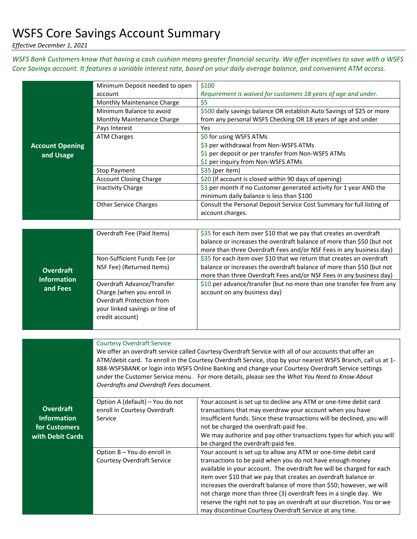## WSFS Core Savings Account Summary

*Effective December 1, 2021*

*WSFS Bank Customers know that having a cash cushion means greater financial security. We offer incentives to save with a WSFS Core Savings account. It features a variable interest rate, based on your daily average balance, and convenient ATM access.* 

|                        | Minimum Deposit needed to open                                                                               | \$100                                                                                                  |  |
|------------------------|--------------------------------------------------------------------------------------------------------------|--------------------------------------------------------------------------------------------------------|--|
|                        | account                                                                                                      | Requirement is waived for customers 18 years of age and under.                                         |  |
|                        | Monthly Maintenance Charge                                                                                   | \$5                                                                                                    |  |
|                        | Minimum Balance to avoid                                                                                     | \$500 daily savings balance OR establish Auto Savings of \$25 or more                                  |  |
|                        | Monthly Maintenance Charge                                                                                   | from any personal WSFS Checking OR 18 years of age and under                                           |  |
|                        | Pays Interest                                                                                                | Yes                                                                                                    |  |
|                        | <b>ATM Charges</b>                                                                                           | \$0 for using WSFS ATMs                                                                                |  |
| <b>Account Opening</b> |                                                                                                              | \$3 per withdrawal from Non-WSFS ATMs                                                                  |  |
| and Usage              |                                                                                                              | \$1 per deposit or per transfer from Non-WSFS ATMs                                                     |  |
|                        |                                                                                                              | \$1 per inquiry from Non-WSFS ATMs                                                                     |  |
|                        | <b>Stop Payment</b>                                                                                          | \$35 (per item)                                                                                        |  |
|                        | <b>Account Closing Charge</b>                                                                                | \$20 (if account is closed within 90 days of opening)                                                  |  |
|                        | <b>Inactivity Charge</b>                                                                                     | \$3 per month if no Customer generated activity for 1 year AND the                                     |  |
|                        |                                                                                                              | minimum daily balance is less than \$100                                                               |  |
|                        | <b>Other Service Charges</b>                                                                                 | Consult the Personal Deposit Service Cost Summary for full listing of                                  |  |
|                        |                                                                                                              | account charges.                                                                                       |  |
|                        |                                                                                                              |                                                                                                        |  |
|                        | Overdraft Fee (Paid Items)                                                                                   | \$35 for each item over \$10 that we pay that creates an overdraft                                     |  |
|                        |                                                                                                              | balance or increases the overdraft balance of more than \$50 (but not                                  |  |
|                        |                                                                                                              | more than three Overdraft Fees and/or NSF Fees in any business day)                                    |  |
|                        | Non-Sufficient Funds Fee (or                                                                                 | \$35 for each item over \$10 that we return that creates an overdraft                                  |  |
| <b>Overdraft</b>       | NSF Fee) (Returned Items)                                                                                    | balance or increases the overdraft balance of more than \$50 (but not                                  |  |
| <b>Information</b>     |                                                                                                              | more than three Overdraft Fees and/or NSF Fees in any business day)                                    |  |
| and Fees               | Overdraft Advance/Transfer                                                                                   | \$10 per advance/transfer (but no more than one transfer fee from any                                  |  |
|                        | Charge (when you enroll in                                                                                   | account on any business day)                                                                           |  |
|                        | <b>Overdraft Protection from</b>                                                                             |                                                                                                        |  |
|                        | your linked savings or line of                                                                               |                                                                                                        |  |
|                        | credit account)                                                                                              |                                                                                                        |  |
|                        |                                                                                                              |                                                                                                        |  |
|                        | <b>Courtesy Overdraft Service</b>                                                                            |                                                                                                        |  |
|                        |                                                                                                              | We offer an overdraft service called Courtesy Overdraft Service with all of our accounts that offer an |  |
|                        | ATM/debit card. To enroll in the Courtesy Overdraft Service, stop by your nearest WSFS Branch, call us at 1- |                                                                                                        |  |
|                        | 888-WSFSBANK or login into WSFS Online Banking and change your Courtesy Overdraft Service settings           |                                                                                                        |  |
|                        | under the Customer Service menu. For more details, please see the What You Need to Know About                |                                                                                                        |  |
|                        | Overdrafts and Overdraft Fees document.                                                                      |                                                                                                        |  |
|                        |                                                                                                              |                                                                                                        |  |
|                        | Option A (default) - You do not                                                                              | Your account is set up to decline any ATM or one-time debit card                                       |  |
| <b>Overdraft</b>       | enroll in Courtesy Overdraft                                                                                 | transactions that may overdraw your account when you have                                              |  |
| <b>Information</b>     | Service                                                                                                      | insufficient funds. Since these transactions will be declined, you will                                |  |
| for Customers          |                                                                                                              | not be charged the overdraft-paid fee.                                                                 |  |
| with Debit Cards       |                                                                                                              | We may authorize and pay other transactions types for which you will                                   |  |
|                        | Option B - You do enroll in                                                                                  | be charged the overdraft-paid fee.<br>Your account is set up to allow any ATM or one-time debit card   |  |
|                        | <b>Courtesy Overdraft Service</b>                                                                            | transactions to be paid when you do not have enough money                                              |  |
|                        |                                                                                                              | available in your account. The overdraft fee will be charged for each                                  |  |
|                        |                                                                                                              | item over \$10 that we pay that creates an overdraft balance or                                        |  |
|                        |                                                                                                              | increases the overdraft balance of more than \$50; however, we will                                    |  |
|                        |                                                                                                              | not charge more than three (3) overdraft fees in a single day. We                                      |  |
|                        |                                                                                                              | reserve the right not to pay an overdraft at our discretion. You or we                                 |  |
|                        |                                                                                                              | may discontinue Courtesy Overdraft Service at any time.                                                |  |